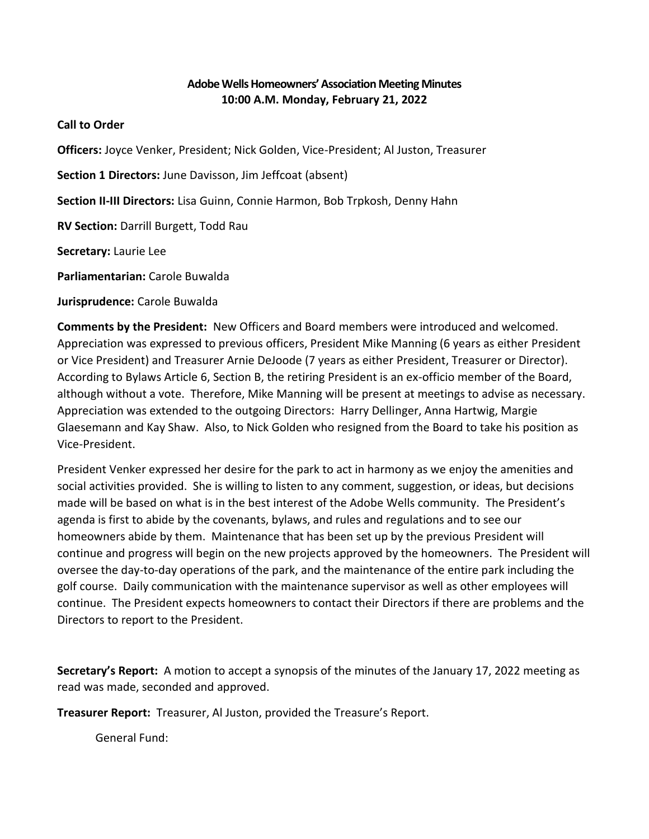# **Adobe Wells Homeowners' Association Meeting Minutes 10:00 A.M. Monday, February 21, 2022**

## **Call to Order**

**Officers:** Joyce Venker, President; Nick Golden, Vice-President; Al Juston, Treasurer

**Section 1 Directors:** June Davisson, Jim Jeffcoat (absent)

**Section II-III Directors:** Lisa Guinn, Connie Harmon, Bob Trpkosh, Denny Hahn

**RV Section:** Darrill Burgett, Todd Rau

**Secretary:** Laurie Lee

**Parliamentarian:** Carole Buwalda

**Jurisprudence:** Carole Buwalda

**Comments by the President:** New Officers and Board members were introduced and welcomed. Appreciation was expressed to previous officers, President Mike Manning (6 years as either President or Vice President) and Treasurer Arnie DeJoode (7 years as either President, Treasurer or Director). According to Bylaws Article 6, Section B, the retiring President is an ex-officio member of the Board, although without a vote. Therefore, Mike Manning will be present at meetings to advise as necessary. Appreciation was extended to the outgoing Directors: Harry Dellinger, Anna Hartwig, Margie Glaesemann and Kay Shaw. Also, to Nick Golden who resigned from the Board to take his position as Vice-President.

President Venker expressed her desire for the park to act in harmony as we enjoy the amenities and social activities provided. She is willing to listen to any comment, suggestion, or ideas, but decisions made will be based on what is in the best interest of the Adobe Wells community. The President's agenda is first to abide by the covenants, bylaws, and rules and regulations and to see our homeowners abide by them. Maintenance that has been set up by the previous President will continue and progress will begin on the new projects approved by the homeowners. The President will oversee the day-to-day operations of the park, and the maintenance of the entire park including the golf course. Daily communication with the maintenance supervisor as well as other employees will continue. The President expects homeowners to contact their Directors if there are problems and the Directors to report to the President.

**Secretary's Report:** A motion to accept a synopsis of the minutes of the January 17, 2022 meeting as read was made, seconded and approved.

**Treasurer Report:** Treasurer, Al Juston, provided the Treasure's Report.

General Fund: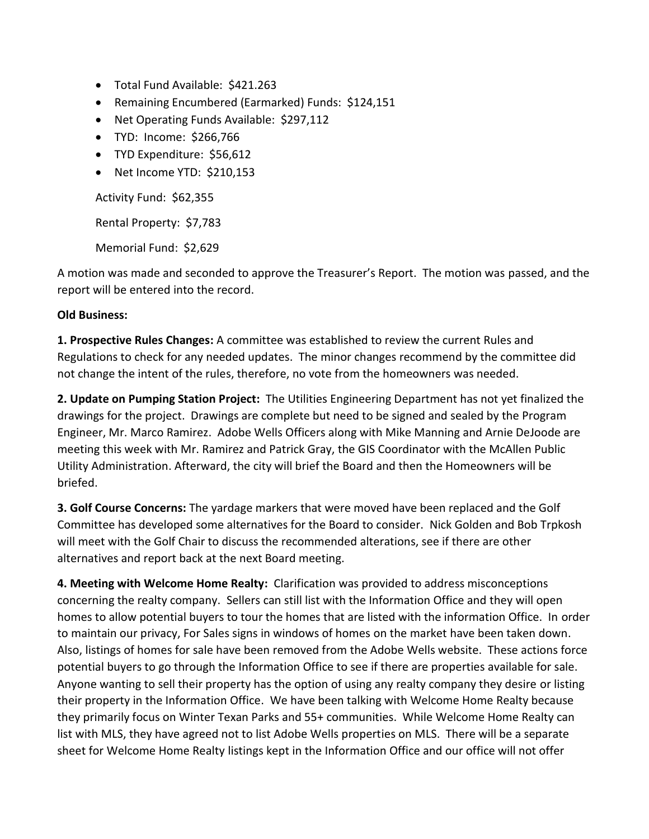- Total Fund Available: \$421.263
- Remaining Encumbered (Earmarked) Funds: \$124,151
- Net Operating Funds Available: \$297,112
- TYD: Income: \$266,766
- TYD Expenditure: \$56,612
- Net Income YTD: \$210,153

Activity Fund: \$62,355

Rental Property: \$7,783

Memorial Fund: \$2,629

A motion was made and seconded to approve the Treasurer's Report. The motion was passed, and the report will be entered into the record.

## **Old Business:**

**1. Prospective Rules Changes:** A committee was established to review the current Rules and Regulations to check for any needed updates. The minor changes recommend by the committee did not change the intent of the rules, therefore, no vote from the homeowners was needed.

**2. Update on Pumping Station Project:** The Utilities Engineering Department has not yet finalized the drawings for the project. Drawings are complete but need to be signed and sealed by the Program Engineer, Mr. Marco Ramirez. Adobe Wells Officers along with Mike Manning and Arnie DeJoode are meeting this week with Mr. Ramirez and Patrick Gray, the GIS Coordinator with the McAllen Public Utility Administration. Afterward, the city will brief the Board and then the Homeowners will be briefed.

**3. Golf Course Concerns:** The yardage markers that were moved have been replaced and the Golf Committee has developed some alternatives for the Board to consider. Nick Golden and Bob Trpkosh will meet with the Golf Chair to discuss the recommended alterations, see if there are other alternatives and report back at the next Board meeting.

**4. Meeting with Welcome Home Realty:** Clarification was provided to address misconceptions concerning the realty company. Sellers can still list with the Information Office and they will open homes to allow potential buyers to tour the homes that are listed with the information Office. In order to maintain our privacy, For Sales signs in windows of homes on the market have been taken down. Also, listings of homes for sale have been removed from the Adobe Wells website. These actions force potential buyers to go through the Information Office to see if there are properties available for sale. Anyone wanting to sell their property has the option of using any realty company they desire or listing their property in the Information Office. We have been talking with Welcome Home Realty because they primarily focus on Winter Texan Parks and 55+ communities. While Welcome Home Realty can list with MLS, they have agreed not to list Adobe Wells properties on MLS. There will be a separate sheet for Welcome Home Realty listings kept in the Information Office and our office will not offer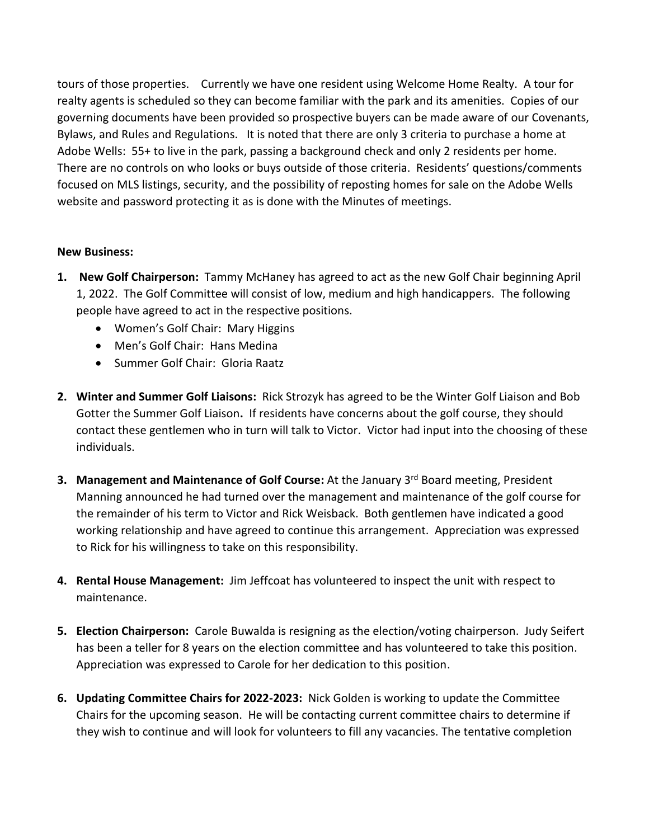tours of those properties. Currently we have one resident using Welcome Home Realty. A tour for realty agents is scheduled so they can become familiar with the park and its amenities. Copies of our governing documents have been provided so prospective buyers can be made aware of our Covenants, Bylaws, and Rules and Regulations. It is noted that there are only 3 criteria to purchase a home at Adobe Wells: 55+ to live in the park, passing a background check and only 2 residents per home. There are no controls on who looks or buys outside of those criteria. Residents' questions/comments focused on MLS listings, security, and the possibility of reposting homes for sale on the Adobe Wells website and password protecting it as is done with the Minutes of meetings.

## **New Business:**

- **1. New Golf Chairperson:** Tammy McHaney has agreed to act as the new Golf Chair beginning April 1, 2022. The Golf Committee will consist of low, medium and high handicappers. The following people have agreed to act in the respective positions.
	- Women's Golf Chair: Mary Higgins
	- Men's Golf Chair: Hans Medina
	- Summer Golf Chair: Gloria Raatz
- **2. Winter and Summer Golf Liaisons:** Rick Strozyk has agreed to be the Winter Golf Liaison and Bob Gotter the Summer Golf Liaison**.** If residents have concerns about the golf course, they should contact these gentlemen who in turn will talk to Victor. Victor had input into the choosing of these individuals.
- **3. Management and Maintenance of Golf Course:** At the January 3<sup>rd</sup> Board meeting, President Manning announced he had turned over the management and maintenance of the golf course for the remainder of his term to Victor and Rick Weisback. Both gentlemen have indicated a good working relationship and have agreed to continue this arrangement. Appreciation was expressed to Rick for his willingness to take on this responsibility.
- **4. Rental House Management:** Jim Jeffcoat has volunteered to inspect the unit with respect to maintenance.
- **5. Election Chairperson:** Carole Buwalda is resigning as the election/voting chairperson. Judy Seifert has been a teller for 8 years on the election committee and has volunteered to take this position. Appreciation was expressed to Carole for her dedication to this position.
- **6. Updating Committee Chairs for 2022-2023:** Nick Golden is working to update the Committee Chairs for the upcoming season. He will be contacting current committee chairs to determine if they wish to continue and will look for volunteers to fill any vacancies. The tentative completion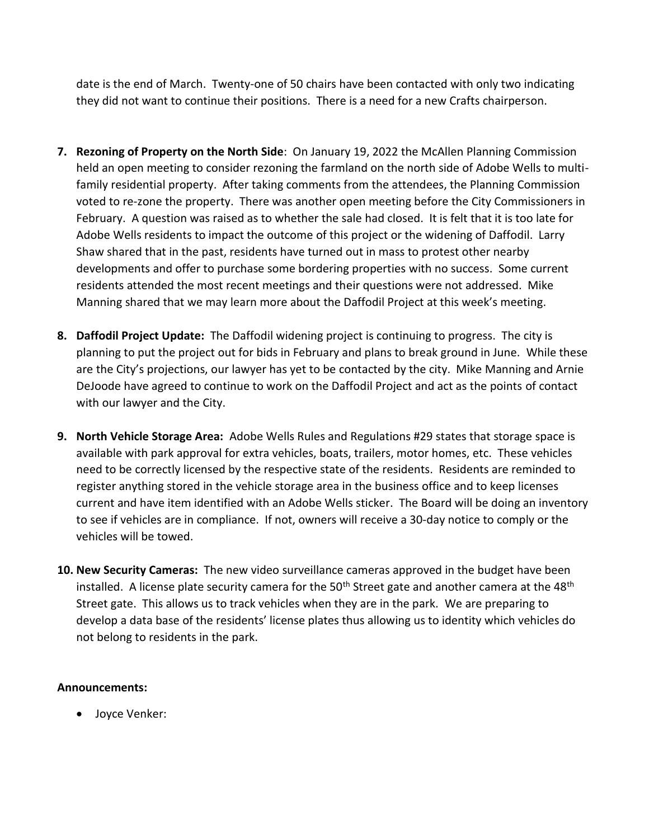date is the end of March. Twenty-one of 50 chairs have been contacted with only two indicating they did not want to continue their positions. There is a need for a new Crafts chairperson.

- **7. Rezoning of Property on the North Side**: On January 19, 2022 the McAllen Planning Commission held an open meeting to consider rezoning the farmland on the north side of Adobe Wells to multifamily residential property. After taking comments from the attendees, the Planning Commission voted to re-zone the property. There was another open meeting before the City Commissioners in February. A question was raised as to whether the sale had closed. It is felt that it is too late for Adobe Wells residents to impact the outcome of this project or the widening of Daffodil. Larry Shaw shared that in the past, residents have turned out in mass to protest other nearby developments and offer to purchase some bordering properties with no success. Some current residents attended the most recent meetings and their questions were not addressed. Mike Manning shared that we may learn more about the Daffodil Project at this week's meeting.
- **8. Daffodil Project Update:** The Daffodil widening project is continuing to progress. The city is planning to put the project out for bids in February and plans to break ground in June. While these are the City's projections, our lawyer has yet to be contacted by the city. Mike Manning and Arnie DeJoode have agreed to continue to work on the Daffodil Project and act as the points of contact with our lawyer and the City.
- **9. North Vehicle Storage Area:** Adobe Wells Rules and Regulations #29 states that storage space is available with park approval for extra vehicles, boats, trailers, motor homes, etc. These vehicles need to be correctly licensed by the respective state of the residents. Residents are reminded to register anything stored in the vehicle storage area in the business office and to keep licenses current and have item identified with an Adobe Wells sticker. The Board will be doing an inventory to see if vehicles are in compliance. If not, owners will receive a 30-day notice to comply or the vehicles will be towed.
- **10. New Security Cameras:** The new video surveillance cameras approved in the budget have been installed. A license plate security camera for the  $50<sup>th</sup>$  Street gate and another camera at the  $48<sup>th</sup>$ Street gate. This allows us to track vehicles when they are in the park. We are preparing to develop a data base of the residents' license plates thus allowing us to identity which vehicles do not belong to residents in the park.

### **Announcements:**

• Joyce Venker: